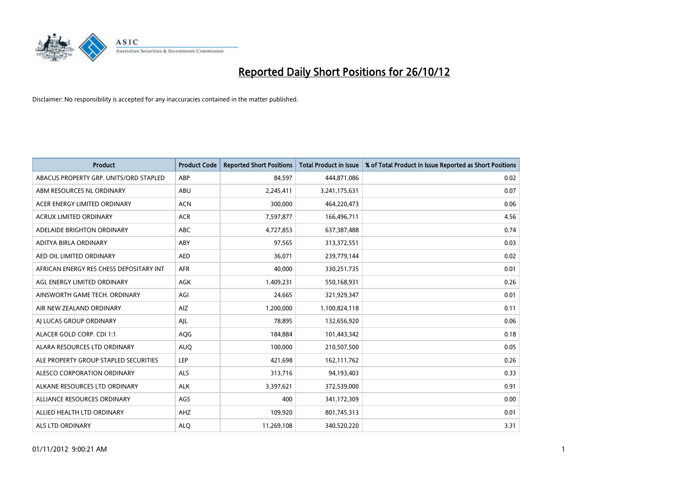

| <b>Product</b>                          | <b>Product Code</b> | <b>Reported Short Positions</b> | <b>Total Product in Issue</b> | % of Total Product in Issue Reported as Short Positions |
|-----------------------------------------|---------------------|---------------------------------|-------------------------------|---------------------------------------------------------|
| ABACUS PROPERTY GRP. UNITS/ORD STAPLED  | ABP                 | 84,597                          | 444,871,086                   | 0.02                                                    |
| ABM RESOURCES NL ORDINARY               | ABU                 | 2,245,411                       | 3,241,175,631                 | 0.07                                                    |
| ACER ENERGY LIMITED ORDINARY            | <b>ACN</b>          | 300,000                         | 464,220,473                   | 0.06                                                    |
| ACRUX LIMITED ORDINARY                  | <b>ACR</b>          | 7,597,877                       | 166,496,711                   | 4.56                                                    |
| ADELAIDE BRIGHTON ORDINARY              | <b>ABC</b>          | 4,727,853                       | 637, 387, 488                 | 0.74                                                    |
| ADITYA BIRLA ORDINARY                   | ABY                 | 97,565                          | 313,372,551                   | 0.03                                                    |
| AED OIL LIMITED ORDINARY                | <b>AED</b>          | 36.071                          | 239,779,144                   | 0.02                                                    |
| AFRICAN ENERGY RES CHESS DEPOSITARY INT | <b>AFR</b>          | 40,000                          | 330,251,735                   | 0.01                                                    |
| AGL ENERGY LIMITED ORDINARY             | <b>AGK</b>          | 1,409,231                       | 550,168,931                   | 0.26                                                    |
| AINSWORTH GAME TECH. ORDINARY           | AGI                 | 24.665                          | 321,929,347                   | 0.01                                                    |
| AIR NEW ZEALAND ORDINARY                | AIZ                 | 1,200,000                       | 1,100,824,118                 | 0.11                                                    |
| AI LUCAS GROUP ORDINARY                 | AJL                 | 78,895                          | 132,656,920                   | 0.06                                                    |
| ALACER GOLD CORP. CDI 1:1               | AQG                 | 184,884                         | 101,443,342                   | 0.18                                                    |
| ALARA RESOURCES LTD ORDINARY            | <b>AUQ</b>          | 100,000                         | 210,507,500                   | 0.05                                                    |
| ALE PROPERTY GROUP STAPLED SECURITIES   | LEP                 | 421,698                         | 162,111,762                   | 0.26                                                    |
| ALESCO CORPORATION ORDINARY             | <b>ALS</b>          | 313,716                         | 94,193,403                    | 0.33                                                    |
| ALKANE RESOURCES LTD ORDINARY           | <b>ALK</b>          | 3,397,621                       | 372,539,000                   | 0.91                                                    |
| ALLIANCE RESOURCES ORDINARY             | AGS                 | 400                             | 341,172,309                   | 0.00                                                    |
| ALLIED HEALTH LTD ORDINARY              | AHZ                 | 109,920                         | 801,745,313                   | 0.01                                                    |
| ALS LTD ORDINARY                        | <b>ALO</b>          | 11,269,108                      | 340.520.220                   | 3.31                                                    |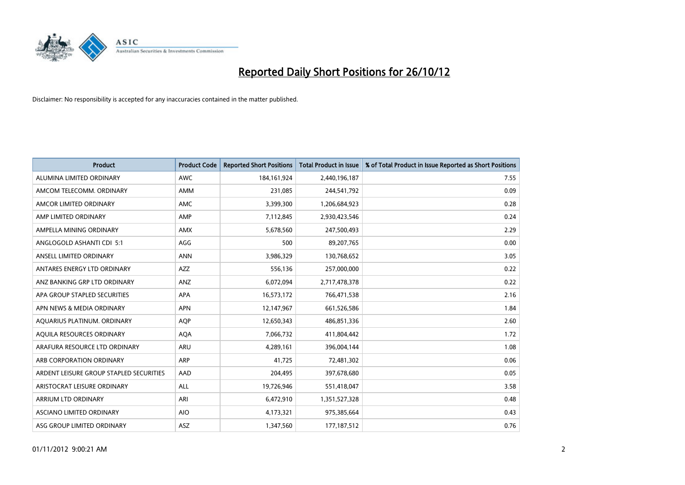

| <b>Product</b>                          | <b>Product Code</b> | <b>Reported Short Positions</b> | <b>Total Product in Issue</b> | % of Total Product in Issue Reported as Short Positions |
|-----------------------------------------|---------------------|---------------------------------|-------------------------------|---------------------------------------------------------|
| ALUMINA LIMITED ORDINARY                | <b>AWC</b>          | 184, 161, 924                   | 2,440,196,187                 | 7.55                                                    |
| AMCOM TELECOMM. ORDINARY                | <b>AMM</b>          | 231,085                         | 244,541,792                   | 0.09                                                    |
| AMCOR LIMITED ORDINARY                  | AMC                 | 3,399,300                       | 1,206,684,923                 | 0.28                                                    |
| AMP LIMITED ORDINARY                    | AMP                 | 7,112,845                       | 2,930,423,546                 | 0.24                                                    |
| AMPELLA MINING ORDINARY                 | <b>AMX</b>          | 5,678,560                       | 247,500,493                   | 2.29                                                    |
| ANGLOGOLD ASHANTI CDI 5:1               | AGG                 | 500                             | 89,207,765                    | 0.00                                                    |
| ANSELL LIMITED ORDINARY                 | <b>ANN</b>          | 3,986,329                       | 130,768,652                   | 3.05                                                    |
| ANTARES ENERGY LTD ORDINARY             | <b>AZZ</b>          | 556,136                         | 257,000,000                   | 0.22                                                    |
| ANZ BANKING GRP LTD ORDINARY            | ANZ                 | 6,072,094                       | 2,717,478,378                 | 0.22                                                    |
| APA GROUP STAPLED SECURITIES            | <b>APA</b>          | 16,573,172                      | 766,471,538                   | 2.16                                                    |
| APN NEWS & MEDIA ORDINARY               | <b>APN</b>          | 12,147,967                      | 661,526,586                   | 1.84                                                    |
| AQUARIUS PLATINUM. ORDINARY             | <b>AOP</b>          | 12,650,343                      | 486,851,336                   | 2.60                                                    |
| AQUILA RESOURCES ORDINARY               | <b>AQA</b>          | 7,066,732                       | 411,804,442                   | 1.72                                                    |
| ARAFURA RESOURCE LTD ORDINARY           | ARU                 | 4,289,161                       | 396,004,144                   | 1.08                                                    |
| ARB CORPORATION ORDINARY                | <b>ARP</b>          | 41,725                          | 72,481,302                    | 0.06                                                    |
| ARDENT LEISURE GROUP STAPLED SECURITIES | AAD                 | 204,495                         | 397,678,680                   | 0.05                                                    |
| ARISTOCRAT LEISURE ORDINARY             | ALL                 | 19,726,946                      | 551,418,047                   | 3.58                                                    |
| <b>ARRIUM LTD ORDINARY</b>              | ARI                 | 6,472,910                       | 1,351,527,328                 | 0.48                                                    |
| <b>ASCIANO LIMITED ORDINARY</b>         | <b>AIO</b>          | 4,173,321                       | 975,385,664                   | 0.43                                                    |
| ASG GROUP LIMITED ORDINARY              | <b>ASZ</b>          | 1,347,560                       | 177, 187, 512                 | 0.76                                                    |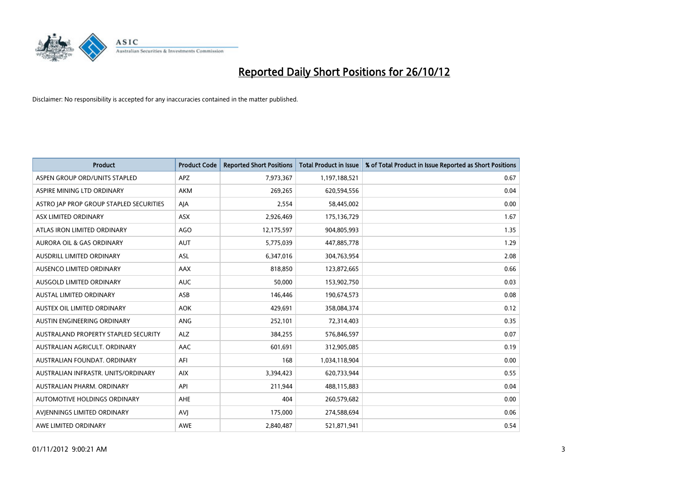

| <b>Product</b>                          | <b>Product Code</b> | <b>Reported Short Positions</b> | <b>Total Product in Issue</b> | % of Total Product in Issue Reported as Short Positions |
|-----------------------------------------|---------------------|---------------------------------|-------------------------------|---------------------------------------------------------|
| ASPEN GROUP ORD/UNITS STAPLED           | APZ                 | 7,973,367                       | 1,197,188,521                 | 0.67                                                    |
| ASPIRE MINING LTD ORDINARY              | <b>AKM</b>          | 269,265                         | 620,594,556                   | 0.04                                                    |
| ASTRO JAP PROP GROUP STAPLED SECURITIES | AJA                 | 2,554                           | 58,445,002                    | 0.00                                                    |
| ASX LIMITED ORDINARY                    | ASX                 | 2,926,469                       | 175,136,729                   | 1.67                                                    |
| ATLAS IRON LIMITED ORDINARY             | <b>AGO</b>          | 12,175,597                      | 904,805,993                   | 1.35                                                    |
| AURORA OIL & GAS ORDINARY               | <b>AUT</b>          | 5,775,039                       | 447,885,778                   | 1.29                                                    |
| AUSDRILL LIMITED ORDINARY               | <b>ASL</b>          | 6,347,016                       | 304,763,954                   | 2.08                                                    |
| AUSENCO LIMITED ORDINARY                | <b>AAX</b>          | 818,850                         | 123,872,665                   | 0.66                                                    |
| AUSGOLD LIMITED ORDINARY                | <b>AUC</b>          | 50,000                          | 153,902,750                   | 0.03                                                    |
| <b>AUSTAL LIMITED ORDINARY</b>          | ASB                 | 146,446                         | 190,674,573                   | 0.08                                                    |
| AUSTEX OIL LIMITED ORDINARY             | <b>AOK</b>          | 429,691                         | 358,084,374                   | 0.12                                                    |
| AUSTIN ENGINEERING ORDINARY             | ANG                 | 252,101                         | 72,314,403                    | 0.35                                                    |
| AUSTRALAND PROPERTY STAPLED SECURITY    | <b>ALZ</b>          | 384,255                         | 576,846,597                   | 0.07                                                    |
| AUSTRALIAN AGRICULT, ORDINARY           | AAC                 | 601.691                         | 312,905,085                   | 0.19                                                    |
| AUSTRALIAN FOUNDAT, ORDINARY            | AFI                 | 168                             | 1,034,118,904                 | 0.00                                                    |
| AUSTRALIAN INFRASTR, UNITS/ORDINARY     | <b>AIX</b>          | 3,394,423                       | 620,733,944                   | 0.55                                                    |
| AUSTRALIAN PHARM, ORDINARY              | API                 | 211,944                         | 488,115,883                   | 0.04                                                    |
| AUTOMOTIVE HOLDINGS ORDINARY            | <b>AHE</b>          | 404                             | 260,579,682                   | 0.00                                                    |
| AVIENNINGS LIMITED ORDINARY             | AVI                 | 175,000                         | 274,588,694                   | 0.06                                                    |
| AWE LIMITED ORDINARY                    | <b>AWE</b>          | 2.840.487                       | 521,871,941                   | 0.54                                                    |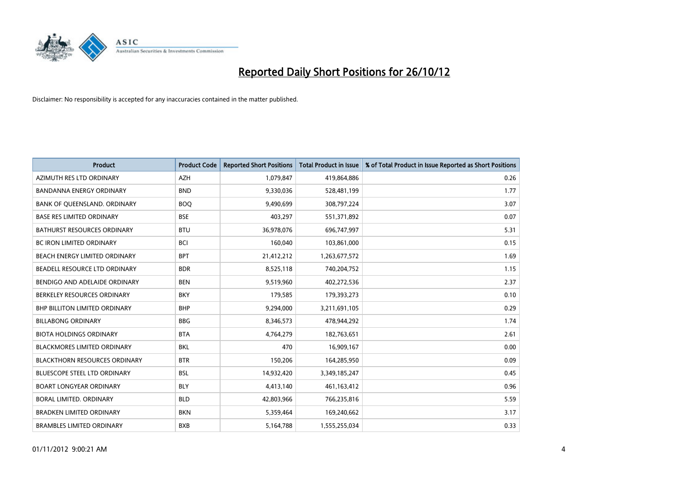

| <b>Product</b>                       | <b>Product Code</b> | <b>Reported Short Positions</b> | <b>Total Product in Issue</b> | % of Total Product in Issue Reported as Short Positions |
|--------------------------------------|---------------------|---------------------------------|-------------------------------|---------------------------------------------------------|
| AZIMUTH RES LTD ORDINARY             | <b>AZH</b>          | 1,079,847                       | 419,864,886                   | 0.26                                                    |
| BANDANNA ENERGY ORDINARY             | <b>BND</b>          | 9,330,036                       | 528,481,199                   | 1.77                                                    |
| BANK OF QUEENSLAND. ORDINARY         | <b>BOQ</b>          | 9,490,699                       | 308,797,224                   | 3.07                                                    |
| <b>BASE RES LIMITED ORDINARY</b>     | <b>BSE</b>          | 403,297                         | 551,371,892                   | 0.07                                                    |
| <b>BATHURST RESOURCES ORDINARY</b>   | <b>BTU</b>          | 36,978,076                      | 696,747,997                   | 5.31                                                    |
| <b>BC IRON LIMITED ORDINARY</b>      | <b>BCI</b>          | 160,040                         | 103,861,000                   | 0.15                                                    |
| BEACH ENERGY LIMITED ORDINARY        | <b>BPT</b>          | 21,412,212                      | 1,263,677,572                 | 1.69                                                    |
| BEADELL RESOURCE LTD ORDINARY        | <b>BDR</b>          | 8,525,118                       | 740,204,752                   | 1.15                                                    |
| BENDIGO AND ADELAIDE ORDINARY        | <b>BEN</b>          | 9,519,960                       | 402,272,536                   | 2.37                                                    |
| BERKELEY RESOURCES ORDINARY          | <b>BKY</b>          | 179,585                         | 179,393,273                   | 0.10                                                    |
| <b>BHP BILLITON LIMITED ORDINARY</b> | <b>BHP</b>          | 9,294,000                       | 3,211,691,105                 | 0.29                                                    |
| <b>BILLABONG ORDINARY</b>            | <b>BBG</b>          | 8,346,573                       | 478,944,292                   | 1.74                                                    |
| <b>BIOTA HOLDINGS ORDINARY</b>       | <b>BTA</b>          | 4,764,279                       | 182,763,651                   | 2.61                                                    |
| <b>BLACKMORES LIMITED ORDINARY</b>   | <b>BKL</b>          | 470                             | 16,909,167                    | 0.00                                                    |
| <b>BLACKTHORN RESOURCES ORDINARY</b> | <b>BTR</b>          | 150,206                         | 164,285,950                   | 0.09                                                    |
| BLUESCOPE STEEL LTD ORDINARY         | <b>BSL</b>          | 14,932,420                      | 3,349,185,247                 | 0.45                                                    |
| <b>BOART LONGYEAR ORDINARY</b>       | <b>BLY</b>          | 4,413,140                       | 461,163,412                   | 0.96                                                    |
| BORAL LIMITED. ORDINARY              | <b>BLD</b>          | 42,803,966                      | 766,235,816                   | 5.59                                                    |
| <b>BRADKEN LIMITED ORDINARY</b>      | <b>BKN</b>          | 5,359,464                       | 169,240,662                   | 3.17                                                    |
| <b>BRAMBLES LIMITED ORDINARY</b>     | <b>BXB</b>          | 5,164,788                       | 1,555,255,034                 | 0.33                                                    |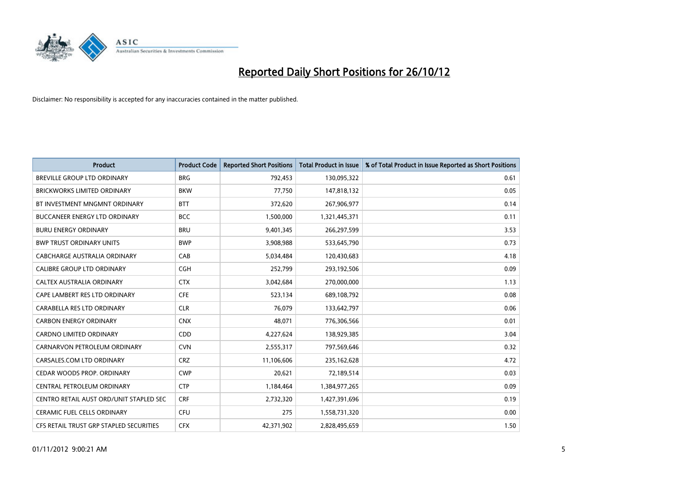

| <b>Product</b>                          | <b>Product Code</b> | <b>Reported Short Positions</b> | <b>Total Product in Issue</b> | % of Total Product in Issue Reported as Short Positions |
|-----------------------------------------|---------------------|---------------------------------|-------------------------------|---------------------------------------------------------|
| <b>BREVILLE GROUP LTD ORDINARY</b>      | <b>BRG</b>          | 792,453                         | 130,095,322                   | 0.61                                                    |
| <b>BRICKWORKS LIMITED ORDINARY</b>      | <b>BKW</b>          | 77,750                          | 147,818,132                   | 0.05                                                    |
| BT INVESTMENT MNGMNT ORDINARY           | <b>BTT</b>          | 372,620                         | 267,906,977                   | 0.14                                                    |
| BUCCANEER ENERGY LTD ORDINARY           | <b>BCC</b>          | 1,500,000                       | 1,321,445,371                 | 0.11                                                    |
| <b>BURU ENERGY ORDINARY</b>             | <b>BRU</b>          | 9,401,345                       | 266,297,599                   | 3.53                                                    |
| <b>BWP TRUST ORDINARY UNITS</b>         | <b>BWP</b>          | 3,908,988                       | 533,645,790                   | 0.73                                                    |
| CABCHARGE AUSTRALIA ORDINARY            | CAB                 | 5,034,484                       | 120,430,683                   | 4.18                                                    |
| CALIBRE GROUP LTD ORDINARY              | <b>CGH</b>          | 252,799                         | 293,192,506                   | 0.09                                                    |
| CALTEX AUSTRALIA ORDINARY               | <b>CTX</b>          | 3,042,684                       | 270,000,000                   | 1.13                                                    |
| CAPE LAMBERT RES LTD ORDINARY           | <b>CFE</b>          | 523,134                         | 689,108,792                   | 0.08                                                    |
| CARABELLA RES LTD ORDINARY              | <b>CLR</b>          | 76,079                          | 133,642,797                   | 0.06                                                    |
| <b>CARBON ENERGY ORDINARY</b>           | <b>CNX</b>          | 48,071                          | 776,306,566                   | 0.01                                                    |
| CARDNO LIMITED ORDINARY                 | <b>CDD</b>          | 4,227,624                       | 138,929,385                   | 3.04                                                    |
| CARNARVON PETROLEUM ORDINARY            | <b>CVN</b>          | 2,555,317                       | 797,569,646                   | 0.32                                                    |
| CARSALES.COM LTD ORDINARY               | <b>CRZ</b>          | 11,106,606                      | 235,162,628                   | 4.72                                                    |
| CEDAR WOODS PROP. ORDINARY              | <b>CWP</b>          | 20,621                          | 72,189,514                    | 0.03                                                    |
| CENTRAL PETROLEUM ORDINARY              | <b>CTP</b>          | 1,184,464                       | 1,384,977,265                 | 0.09                                                    |
| CENTRO RETAIL AUST ORD/UNIT STAPLED SEC | <b>CRF</b>          | 2,732,320                       | 1,427,391,696                 | 0.19                                                    |
| CERAMIC FUEL CELLS ORDINARY             | CFU                 | 275                             | 1,558,731,320                 | 0.00                                                    |
| CFS RETAIL TRUST GRP STAPLED SECURITIES | <b>CFX</b>          | 42,371,902                      | 2,828,495,659                 | 1.50                                                    |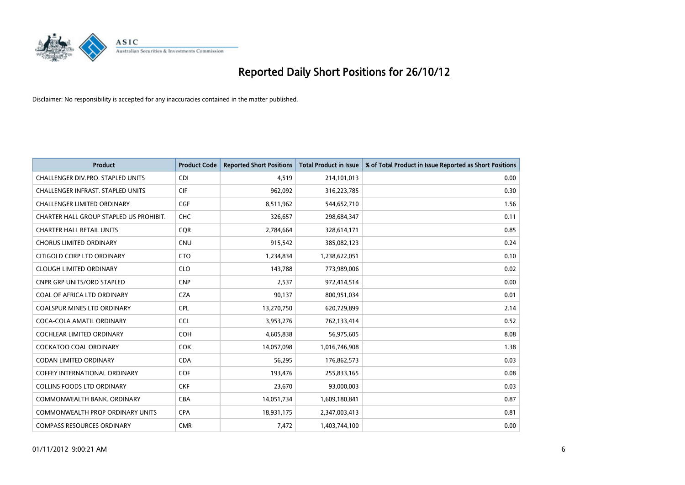

| <b>Product</b>                           | <b>Product Code</b> | <b>Reported Short Positions</b> | <b>Total Product in Issue</b> | % of Total Product in Issue Reported as Short Positions |
|------------------------------------------|---------------------|---------------------------------|-------------------------------|---------------------------------------------------------|
| CHALLENGER DIV.PRO. STAPLED UNITS        | <b>CDI</b>          | 4,519                           | 214,101,013                   | 0.00                                                    |
| <b>CHALLENGER INFRAST, STAPLED UNITS</b> | <b>CIF</b>          | 962,092                         | 316,223,785                   | 0.30                                                    |
| <b>CHALLENGER LIMITED ORDINARY</b>       | <b>CGF</b>          | 8,511,962                       | 544,652,710                   | 1.56                                                    |
| CHARTER HALL GROUP STAPLED US PROHIBIT.  | <b>CHC</b>          | 326,657                         | 298,684,347                   | 0.11                                                    |
| <b>CHARTER HALL RETAIL UNITS</b>         | <b>CQR</b>          | 2,784,664                       | 328,614,171                   | 0.85                                                    |
| <b>CHORUS LIMITED ORDINARY</b>           | <b>CNU</b>          | 915,542                         | 385,082,123                   | 0.24                                                    |
| CITIGOLD CORP LTD ORDINARY               | <b>CTO</b>          | 1,234,834                       | 1,238,622,051                 | 0.10                                                    |
| <b>CLOUGH LIMITED ORDINARY</b>           | <b>CLO</b>          | 143,788                         | 773,989,006                   | 0.02                                                    |
| <b>CNPR GRP UNITS/ORD STAPLED</b>        | <b>CNP</b>          | 2,537                           | 972,414,514                   | 0.00                                                    |
| COAL OF AFRICA LTD ORDINARY              | <b>CZA</b>          | 90,137                          | 800,951,034                   | 0.01                                                    |
| COALSPUR MINES LTD ORDINARY              | <b>CPL</b>          | 13,270,750                      | 620,729,899                   | 2.14                                                    |
| COCA-COLA AMATIL ORDINARY                | <b>CCL</b>          | 3,953,276                       | 762,133,414                   | 0.52                                                    |
| COCHLEAR LIMITED ORDINARY                | <b>COH</b>          | 4,605,838                       | 56,975,605                    | 8.08                                                    |
| <b>COCKATOO COAL ORDINARY</b>            | <b>COK</b>          | 14,057,098                      | 1,016,746,908                 | 1.38                                                    |
| CODAN LIMITED ORDINARY                   | <b>CDA</b>          | 56,295                          | 176,862,573                   | 0.03                                                    |
| <b>COFFEY INTERNATIONAL ORDINARY</b>     | COF                 | 193,476                         | 255,833,165                   | 0.08                                                    |
| <b>COLLINS FOODS LTD ORDINARY</b>        | <b>CKF</b>          | 23,670                          | 93,000,003                    | 0.03                                                    |
| COMMONWEALTH BANK, ORDINARY              | <b>CBA</b>          | 14,051,734                      | 1,609,180,841                 | 0.87                                                    |
| <b>COMMONWEALTH PROP ORDINARY UNITS</b>  | <b>CPA</b>          | 18,931,175                      | 2,347,003,413                 | 0.81                                                    |
| <b>COMPASS RESOURCES ORDINARY</b>        | <b>CMR</b>          | 7,472                           | 1,403,744,100                 | 0.00                                                    |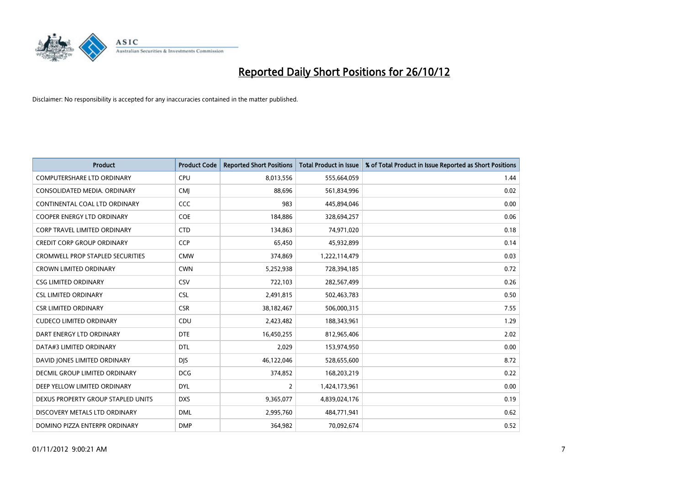

| <b>Product</b>                          | <b>Product Code</b> | <b>Reported Short Positions</b> | <b>Total Product in Issue</b> | % of Total Product in Issue Reported as Short Positions |
|-----------------------------------------|---------------------|---------------------------------|-------------------------------|---------------------------------------------------------|
| COMPUTERSHARE LTD ORDINARY              | CPU                 | 8,013,556                       | 555,664,059                   | 1.44                                                    |
| CONSOLIDATED MEDIA. ORDINARY            | <b>CMI</b>          | 88,696                          | 561,834,996                   | 0.02                                                    |
| CONTINENTAL COAL LTD ORDINARY           | CCC                 | 983                             | 445,894,046                   | 0.00                                                    |
| COOPER ENERGY LTD ORDINARY              | <b>COE</b>          | 184,886                         | 328,694,257                   | 0.06                                                    |
| <b>CORP TRAVEL LIMITED ORDINARY</b>     | <b>CTD</b>          | 134,863                         | 74,971,020                    | 0.18                                                    |
| <b>CREDIT CORP GROUP ORDINARY</b>       | <b>CCP</b>          | 65,450                          | 45,932,899                    | 0.14                                                    |
| <b>CROMWELL PROP STAPLED SECURITIES</b> | <b>CMW</b>          | 374,869                         | 1,222,114,479                 | 0.03                                                    |
| <b>CROWN LIMITED ORDINARY</b>           | <b>CWN</b>          | 5,252,938                       | 728,394,185                   | 0.72                                                    |
| <b>CSG LIMITED ORDINARY</b>             | CSV                 | 722,103                         | 282,567,499                   | 0.26                                                    |
| <b>CSL LIMITED ORDINARY</b>             | <b>CSL</b>          | 2,491,815                       | 502,463,783                   | 0.50                                                    |
| <b>CSR LIMITED ORDINARY</b>             | <b>CSR</b>          | 38,182,467                      | 506,000,315                   | 7.55                                                    |
| <b>CUDECO LIMITED ORDINARY</b>          | CDU                 | 2,423,482                       | 188,343,961                   | 1.29                                                    |
| DART ENERGY LTD ORDINARY                | <b>DTE</b>          | 16,450,255                      | 812,965,406                   | 2.02                                                    |
| DATA#3 LIMITED ORDINARY                 | <b>DTL</b>          | 2,029                           | 153,974,950                   | 0.00                                                    |
| DAVID JONES LIMITED ORDINARY            | <b>DIS</b>          | 46,122,046                      | 528,655,600                   | 8.72                                                    |
| <b>DECMIL GROUP LIMITED ORDINARY</b>    | <b>DCG</b>          | 374,852                         | 168,203,219                   | 0.22                                                    |
| DEEP YELLOW LIMITED ORDINARY            | <b>DYL</b>          | 2                               | 1,424,173,961                 | 0.00                                                    |
| DEXUS PROPERTY GROUP STAPLED UNITS      | <b>DXS</b>          | 9,365,077                       | 4,839,024,176                 | 0.19                                                    |
| DISCOVERY METALS LTD ORDINARY           | <b>DML</b>          | 2,995,760                       | 484,771,941                   | 0.62                                                    |
| DOMINO PIZZA ENTERPR ORDINARY           | <b>DMP</b>          | 364,982                         | 70,092,674                    | 0.52                                                    |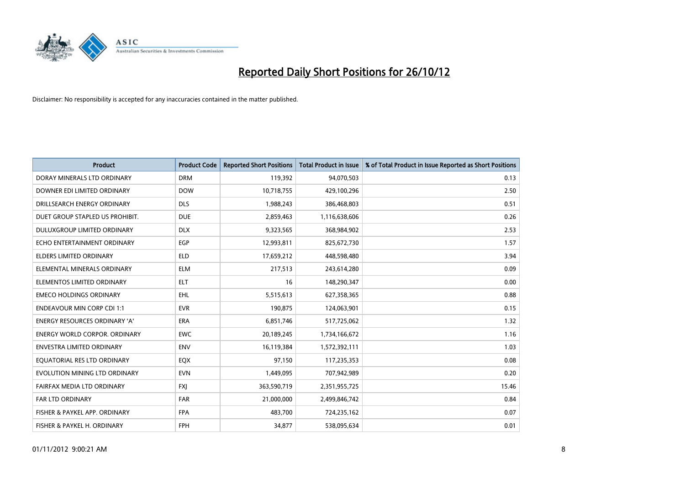

| <b>Product</b>                       | <b>Product Code</b> | <b>Reported Short Positions</b> | <b>Total Product in Issue</b> | % of Total Product in Issue Reported as Short Positions |
|--------------------------------------|---------------------|---------------------------------|-------------------------------|---------------------------------------------------------|
| DORAY MINERALS LTD ORDINARY          | <b>DRM</b>          | 119,392                         | 94,070,503                    | 0.13                                                    |
| DOWNER EDI LIMITED ORDINARY          | <b>DOW</b>          | 10,718,755                      | 429,100,296                   | 2.50                                                    |
| DRILLSEARCH ENERGY ORDINARY          | <b>DLS</b>          | 1,988,243                       | 386,468,803                   | 0.51                                                    |
| DUET GROUP STAPLED US PROHIBIT.      | <b>DUE</b>          | 2,859,463                       | 1,116,638,606                 | 0.26                                                    |
| DULUXGROUP LIMITED ORDINARY          | <b>DLX</b>          | 9,323,565                       | 368,984,902                   | 2.53                                                    |
| ECHO ENTERTAINMENT ORDINARY          | EGP                 | 12,993,811                      | 825,672,730                   | 1.57                                                    |
| ELDERS LIMITED ORDINARY              | <b>ELD</b>          | 17,659,212                      | 448,598,480                   | 3.94                                                    |
| ELEMENTAL MINERALS ORDINARY          | <b>ELM</b>          | 217,513                         | 243,614,280                   | 0.09                                                    |
| ELEMENTOS LIMITED ORDINARY           | <b>ELT</b>          | 16                              | 148,290,347                   | 0.00                                                    |
| <b>EMECO HOLDINGS ORDINARY</b>       | <b>EHL</b>          | 5,515,613                       | 627,358,365                   | 0.88                                                    |
| <b>ENDEAVOUR MIN CORP CDI 1:1</b>    | <b>EVR</b>          | 190,875                         | 124,063,901                   | 0.15                                                    |
| <b>ENERGY RESOURCES ORDINARY 'A'</b> | <b>ERA</b>          | 6,851,746                       | 517,725,062                   | 1.32                                                    |
| <b>ENERGY WORLD CORPOR, ORDINARY</b> | <b>EWC</b>          | 20,189,245                      | 1,734,166,672                 | 1.16                                                    |
| <b>ENVESTRA LIMITED ORDINARY</b>     | <b>ENV</b>          | 16,119,384                      | 1,572,392,111                 | 1.03                                                    |
| EQUATORIAL RES LTD ORDINARY          | EQX                 | 97,150                          | 117,235,353                   | 0.08                                                    |
| EVOLUTION MINING LTD ORDINARY        | <b>EVN</b>          | 1,449,095                       | 707,942,989                   | 0.20                                                    |
| FAIRFAX MEDIA LTD ORDINARY           | <b>FXI</b>          | 363,590,719                     | 2,351,955,725                 | 15.46                                                   |
| <b>FAR LTD ORDINARY</b>              | <b>FAR</b>          | 21,000,000                      | 2,499,846,742                 | 0.84                                                    |
| FISHER & PAYKEL APP. ORDINARY        | <b>FPA</b>          | 483,700                         | 724,235,162                   | 0.07                                                    |
| FISHER & PAYKEL H. ORDINARY          | <b>FPH</b>          | 34,877                          | 538,095,634                   | 0.01                                                    |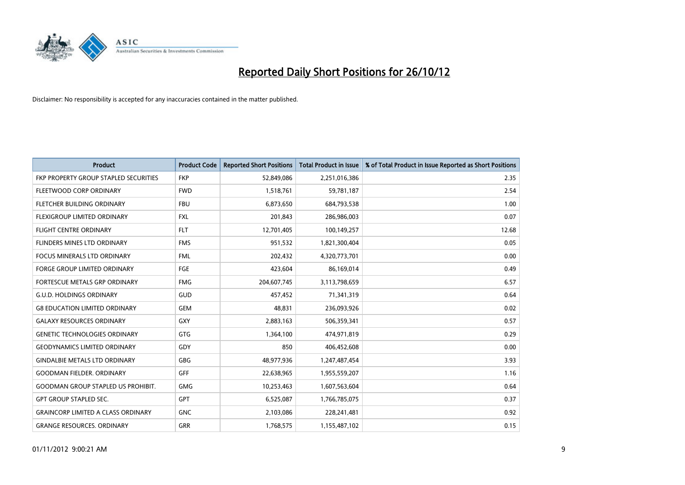

| <b>Product</b>                            | <b>Product Code</b> | <b>Reported Short Positions</b> | <b>Total Product in Issue</b> | % of Total Product in Issue Reported as Short Positions |
|-------------------------------------------|---------------------|---------------------------------|-------------------------------|---------------------------------------------------------|
| FKP PROPERTY GROUP STAPLED SECURITIES     | <b>FKP</b>          | 52,849,086                      | 2,251,016,386                 | 2.35                                                    |
| FLEETWOOD CORP ORDINARY                   | <b>FWD</b>          | 1,518,761                       | 59,781,187                    | 2.54                                                    |
| FLETCHER BUILDING ORDINARY                | <b>FBU</b>          | 6,873,650                       | 684,793,538                   | 1.00                                                    |
| FLEXIGROUP LIMITED ORDINARY               | <b>FXL</b>          | 201,843                         | 286,986,003                   | 0.07                                                    |
| <b>FLIGHT CENTRE ORDINARY</b>             | <b>FLT</b>          | 12,701,405                      | 100,149,257                   | 12.68                                                   |
| FLINDERS MINES LTD ORDINARY               | <b>FMS</b>          | 951,532                         | 1,821,300,404                 | 0.05                                                    |
| <b>FOCUS MINERALS LTD ORDINARY</b>        | <b>FML</b>          | 202,432                         | 4,320,773,701                 | 0.00                                                    |
| FORGE GROUP LIMITED ORDINARY              | FGE                 | 423,604                         | 86,169,014                    | 0.49                                                    |
| FORTESCUE METALS GRP ORDINARY             | <b>FMG</b>          | 204,607,745                     | 3,113,798,659                 | 6.57                                                    |
| <b>G.U.D. HOLDINGS ORDINARY</b>           | <b>GUD</b>          | 457,452                         | 71,341,319                    | 0.64                                                    |
| <b>G8 EDUCATION LIMITED ORDINARY</b>      | <b>GEM</b>          | 48,831                          | 236,093,926                   | 0.02                                                    |
| <b>GALAXY RESOURCES ORDINARY</b>          | <b>GXY</b>          | 2,883,163                       | 506,359,341                   | 0.57                                                    |
| <b>GENETIC TECHNOLOGIES ORDINARY</b>      | <b>GTG</b>          | 1,364,100                       | 474,971,819                   | 0.29                                                    |
| <b>GEODYNAMICS LIMITED ORDINARY</b>       | GDY                 | 850                             | 406,452,608                   | 0.00                                                    |
| <b>GINDALBIE METALS LTD ORDINARY</b>      | <b>GBG</b>          | 48,977,936                      | 1,247,487,454                 | 3.93                                                    |
| <b>GOODMAN FIELDER. ORDINARY</b>          | <b>GFF</b>          | 22,638,965                      | 1,955,559,207                 | 1.16                                                    |
| <b>GOODMAN GROUP STAPLED US PROHIBIT.</b> | <b>GMG</b>          | 10,253,463                      | 1,607,563,604                 | 0.64                                                    |
| <b>GPT GROUP STAPLED SEC.</b>             | <b>GPT</b>          | 6,525,087                       | 1,766,785,075                 | 0.37                                                    |
| <b>GRAINCORP LIMITED A CLASS ORDINARY</b> | <b>GNC</b>          | 2,103,086                       | 228,241,481                   | 0.92                                                    |
| <b>GRANGE RESOURCES. ORDINARY</b>         | <b>GRR</b>          | 1,768,575                       | 1,155,487,102                 | 0.15                                                    |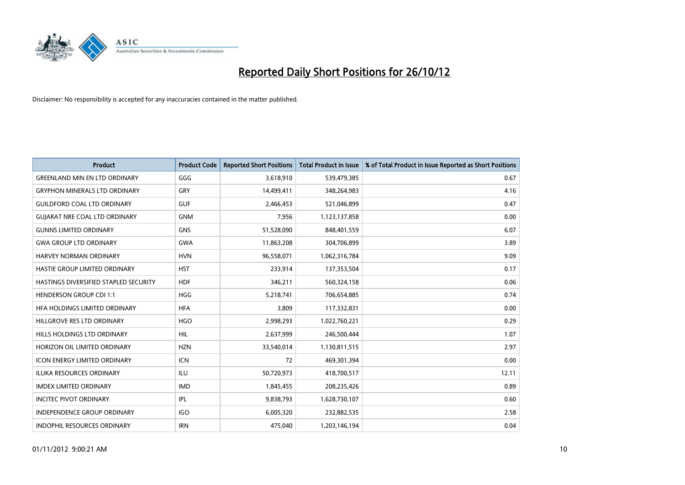

| <b>Product</b>                        | <b>Product Code</b> | <b>Reported Short Positions</b> | <b>Total Product in Issue</b> | % of Total Product in Issue Reported as Short Positions |
|---------------------------------------|---------------------|---------------------------------|-------------------------------|---------------------------------------------------------|
| <b>GREENLAND MIN EN LTD ORDINARY</b>  | GGG                 | 3,618,910                       | 539,479,385                   | 0.67                                                    |
| <b>GRYPHON MINERALS LTD ORDINARY</b>  | GRY                 | 14,499,411                      | 348,264,983                   | 4.16                                                    |
| <b>GUILDFORD COAL LTD ORDINARY</b>    | <b>GUF</b>          | 2,466,453                       | 521,046,899                   | 0.47                                                    |
| <b>GUIARAT NRE COAL LTD ORDINARY</b>  | <b>GNM</b>          | 7,956                           | 1,123,137,858                 | 0.00                                                    |
| <b>GUNNS LIMITED ORDINARY</b>         | <b>GNS</b>          | 51,528,090                      | 848,401,559                   | 6.07                                                    |
| <b>GWA GROUP LTD ORDINARY</b>         | <b>GWA</b>          | 11,863,208                      | 304,706,899                   | 3.89                                                    |
| HARVEY NORMAN ORDINARY                | <b>HVN</b>          | 96,558,071                      | 1,062,316,784                 | 9.09                                                    |
| HASTIE GROUP LIMITED ORDINARY         | <b>HST</b>          | 233,914                         | 137,353,504                   | 0.17                                                    |
| HASTINGS DIVERSIFIED STAPLED SECURITY | <b>HDF</b>          | 346,211                         | 560,324,158                   | 0.06                                                    |
| <b>HENDERSON GROUP CDI 1:1</b>        | <b>HGG</b>          | 5,218,741                       | 706,654,885                   | 0.74                                                    |
| HFA HOLDINGS LIMITED ORDINARY         | <b>HFA</b>          | 3,809                           | 117,332,831                   | 0.00                                                    |
| HILLGROVE RES LTD ORDINARY            | <b>HGO</b>          | 2,998,293                       | 1,022,760,221                 | 0.29                                                    |
| <b>HILLS HOLDINGS LTD ORDINARY</b>    | <b>HIL</b>          | 2,637,999                       | 246,500,444                   | 1.07                                                    |
| HORIZON OIL LIMITED ORDINARY          | <b>HZN</b>          | 33,540,014                      | 1,130,811,515                 | 2.97                                                    |
| <b>ICON ENERGY LIMITED ORDINARY</b>   | <b>ICN</b>          | 72                              | 469,301,394                   | 0.00                                                    |
| ILUKA RESOURCES ORDINARY              | ILU                 | 50,720,973                      | 418,700,517                   | 12.11                                                   |
| <b>IMDEX LIMITED ORDINARY</b>         | <b>IMD</b>          | 1,845,455                       | 208,235,426                   | 0.89                                                    |
| <b>INCITEC PIVOT ORDINARY</b>         | <b>IPL</b>          | 9,838,793                       | 1,628,730,107                 | 0.60                                                    |
| <b>INDEPENDENCE GROUP ORDINARY</b>    | <b>IGO</b>          | 6,005,320                       | 232,882,535                   | 2.58                                                    |
| INDOPHIL RESOURCES ORDINARY           | <b>IRN</b>          | 475,040                         | 1,203,146,194                 | 0.04                                                    |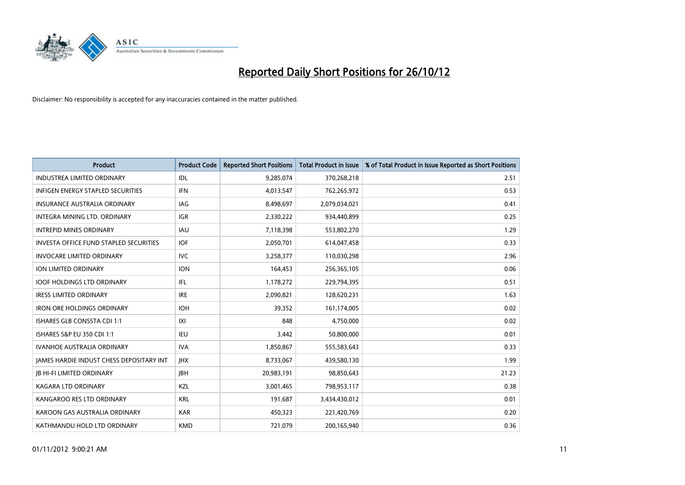

| <b>Product</b>                                  | <b>Product Code</b> | <b>Reported Short Positions</b> | <b>Total Product in Issue</b> | % of Total Product in Issue Reported as Short Positions |
|-------------------------------------------------|---------------------|---------------------------------|-------------------------------|---------------------------------------------------------|
| <b>INDUSTREA LIMITED ORDINARY</b>               | IDL                 | 9,285,074                       | 370,268,218                   | 2.51                                                    |
| INFIGEN ENERGY STAPLED SECURITIES               | <b>IFN</b>          | 4,013,547                       | 762,265,972                   | 0.53                                                    |
| <b>INSURANCE AUSTRALIA ORDINARY</b>             | IAG                 | 8,498,697                       | 2,079,034,021                 | 0.41                                                    |
| INTEGRA MINING LTD. ORDINARY                    | <b>IGR</b>          | 2,330,222                       | 934,440,899                   | 0.25                                                    |
| <b>INTREPID MINES ORDINARY</b>                  | <b>IAU</b>          | 7,118,398                       | 553,802,270                   | 1.29                                                    |
| <b>INVESTA OFFICE FUND STAPLED SECURITIES</b>   | <b>IOF</b>          | 2,050,701                       | 614,047,458                   | 0.33                                                    |
| <b>INVOCARE LIMITED ORDINARY</b>                | IVC                 | 3,258,377                       | 110,030,298                   | 2.96                                                    |
| ION LIMITED ORDINARY                            | <b>ION</b>          | 164,453                         | 256,365,105                   | 0.06                                                    |
| <b>IOOF HOLDINGS LTD ORDINARY</b>               | <b>IFL</b>          | 1,178,272                       | 229,794,395                   | 0.51                                                    |
| <b>IRESS LIMITED ORDINARY</b>                   | <b>IRE</b>          | 2,090,821                       | 128,620,231                   | 1.63                                                    |
| <b>IRON ORE HOLDINGS ORDINARY</b>               | <b>IOH</b>          | 39,352                          | 161,174,005                   | 0.02                                                    |
| <b>ISHARES GLB CONSSTA CDI 1:1</b>              | X                   | 848                             | 4,750,000                     | 0.02                                                    |
| ISHARES S&P EU 350 CDI 1:1                      | IEU                 | 3,442                           | 50,800,000                    | 0.01                                                    |
| <b>IVANHOE AUSTRALIA ORDINARY</b>               | <b>IVA</b>          | 1,850,867                       | 555,583,643                   | 0.33                                                    |
| <b>JAMES HARDIE INDUST CHESS DEPOSITARY INT</b> | <b>IHX</b>          | 8,733,067                       | 439,580,130                   | 1.99                                                    |
| <b>IB HI-FI LIMITED ORDINARY</b>                | <b>IBH</b>          | 20,983,191                      | 98,850,643                    | 21.23                                                   |
| KAGARA LTD ORDINARY                             | KZL                 | 3,001,465                       | 798,953,117                   | 0.38                                                    |
| KANGAROO RES LTD ORDINARY                       | <b>KRL</b>          | 191,687                         | 3,434,430,012                 | 0.01                                                    |
| KAROON GAS AUSTRALIA ORDINARY                   | <b>KAR</b>          | 450,323                         | 221,420,769                   | 0.20                                                    |
| KATHMANDU HOLD LTD ORDINARY                     | <b>KMD</b>          | 721,079                         | 200,165,940                   | 0.36                                                    |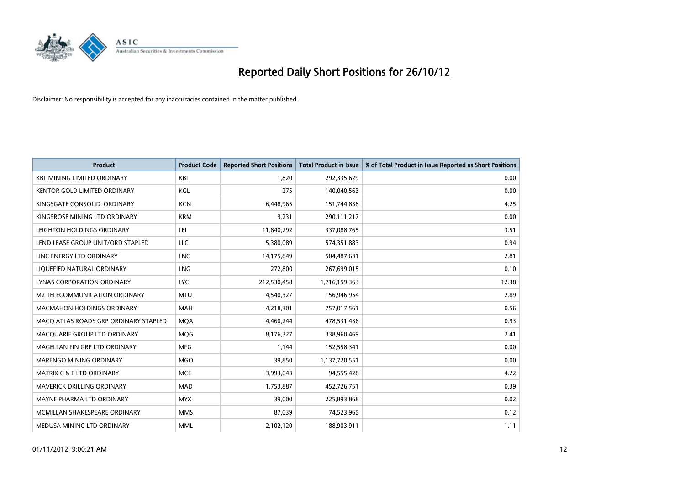

| <b>Product</b>                        | <b>Product Code</b> | <b>Reported Short Positions</b> | <b>Total Product in Issue</b> | % of Total Product in Issue Reported as Short Positions |
|---------------------------------------|---------------------|---------------------------------|-------------------------------|---------------------------------------------------------|
| <b>KBL MINING LIMITED ORDINARY</b>    | <b>KBL</b>          | 1.820                           | 292,335,629                   | 0.00                                                    |
| KENTOR GOLD LIMITED ORDINARY          | KGL                 | 275                             | 140,040,563                   | 0.00                                                    |
| KINGSGATE CONSOLID, ORDINARY          | <b>KCN</b>          | 6,448,965                       | 151,744,838                   | 4.25                                                    |
| KINGSROSE MINING LTD ORDINARY         | <b>KRM</b>          | 9,231                           | 290,111,217                   | 0.00                                                    |
| LEIGHTON HOLDINGS ORDINARY            | LEI                 | 11,840,292                      | 337,088,765                   | 3.51                                                    |
| LEND LEASE GROUP UNIT/ORD STAPLED     | LLC                 | 5,380,089                       | 574,351,883                   | 0.94                                                    |
| LINC ENERGY LTD ORDINARY              | <b>LNC</b>          | 14,175,849                      | 504,487,631                   | 2.81                                                    |
| LIQUEFIED NATURAL ORDINARY            | LNG                 | 272,800                         | 267,699,015                   | 0.10                                                    |
| <b>LYNAS CORPORATION ORDINARY</b>     | LYC.                | 212,530,458                     | 1,716,159,363                 | 12.38                                                   |
| M2 TELECOMMUNICATION ORDINARY         | <b>MTU</b>          | 4,540,327                       | 156,946,954                   | 2.89                                                    |
| <b>MACMAHON HOLDINGS ORDINARY</b>     | <b>MAH</b>          | 4,218,301                       | 757,017,561                   | 0.56                                                    |
| MACO ATLAS ROADS GRP ORDINARY STAPLED | <b>MQA</b>          | 4,460,244                       | 478,531,436                   | 0.93                                                    |
| MACQUARIE GROUP LTD ORDINARY          | <b>MOG</b>          | 8,176,327                       | 338,960,469                   | 2.41                                                    |
| MAGELLAN FIN GRP LTD ORDINARY         | <b>MFG</b>          | 1,144                           | 152,558,341                   | 0.00                                                    |
| MARENGO MINING ORDINARY               | <b>MGO</b>          | 39,850                          | 1,137,720,551                 | 0.00                                                    |
| MATRIX C & E LTD ORDINARY             | <b>MCE</b>          | 3,993,043                       | 94,555,428                    | 4.22                                                    |
| MAVERICK DRILLING ORDINARY            | MAD                 | 1,753,887                       | 452,726,751                   | 0.39                                                    |
| MAYNE PHARMA LTD ORDINARY             | <b>MYX</b>          | 39,000                          | 225,893,868                   | 0.02                                                    |
| MCMILLAN SHAKESPEARE ORDINARY         | <b>MMS</b>          | 87,039                          | 74,523,965                    | 0.12                                                    |
| MEDUSA MINING LTD ORDINARY            | <b>MML</b>          | 2,102,120                       | 188,903,911                   | 1.11                                                    |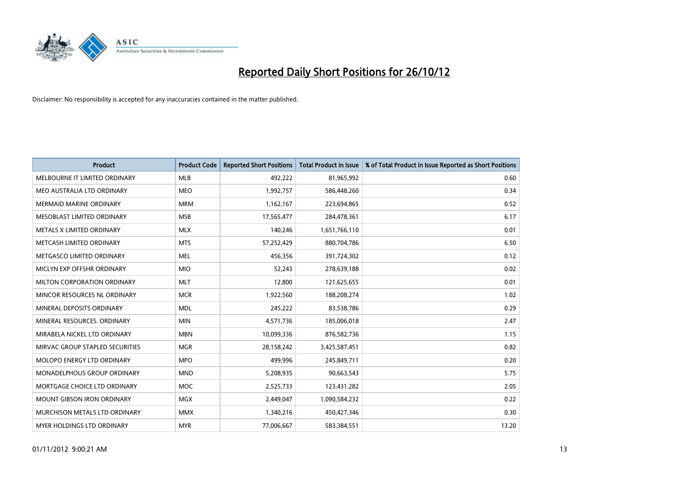

| <b>Product</b>                    | <b>Product Code</b> | <b>Reported Short Positions</b> | <b>Total Product in Issue</b> | % of Total Product in Issue Reported as Short Positions |
|-----------------------------------|---------------------|---------------------------------|-------------------------------|---------------------------------------------------------|
| MELBOURNE IT LIMITED ORDINARY     | <b>MLB</b>          | 492,222                         | 81,965,992                    | 0.60                                                    |
| MEO AUSTRALIA LTD ORDINARY        | <b>MEO</b>          | 1,992,757                       | 586,448,260                   | 0.34                                                    |
| <b>MERMAID MARINE ORDINARY</b>    | <b>MRM</b>          | 1,162,167                       | 223,694,865                   | 0.52                                                    |
| MESOBLAST LIMITED ORDINARY        | <b>MSB</b>          | 17,565,477                      | 284,478,361                   | 6.17                                                    |
| METALS X LIMITED ORDINARY         | <b>MLX</b>          | 140,246                         | 1,651,766,110                 | 0.01                                                    |
| METCASH LIMITED ORDINARY          | <b>MTS</b>          | 57,252,429                      | 880,704,786                   | 6.50                                                    |
| METGASCO LIMITED ORDINARY         | <b>MEL</b>          | 456.356                         | 391,724,302                   | 0.12                                                    |
| MICLYN EXP OFFSHR ORDINARY        | <b>MIO</b>          | 52,243                          | 278,639,188                   | 0.02                                                    |
| MILTON CORPORATION ORDINARY       | <b>MLT</b>          | 12,800                          | 121,625,655                   | 0.01                                                    |
| MINCOR RESOURCES NL ORDINARY      | <b>MCR</b>          | 1,922,560                       | 188,208,274                   | 1.02                                                    |
| MINERAL DEPOSITS ORDINARY         | <b>MDL</b>          | 245,222                         | 83,538,786                    | 0.29                                                    |
| MINERAL RESOURCES, ORDINARY       | <b>MIN</b>          | 4,571,736                       | 185,006,018                   | 2.47                                                    |
| MIRABELA NICKEL LTD ORDINARY      | <b>MBN</b>          | 10,099,336                      | 876,582,736                   | 1.15                                                    |
| MIRVAC GROUP STAPLED SECURITIES   | <b>MGR</b>          | 28,158,242                      | 3,425,587,451                 | 0.82                                                    |
| <b>MOLOPO ENERGY LTD ORDINARY</b> | <b>MPO</b>          | 499,996                         | 245,849,711                   | 0.20                                                    |
| MONADELPHOUS GROUP ORDINARY       | <b>MND</b>          | 5,208,935                       | 90,663,543                    | 5.75                                                    |
| MORTGAGE CHOICE LTD ORDINARY      | <b>MOC</b>          | 2,525,733                       | 123,431,282                   | 2.05                                                    |
| <b>MOUNT GIBSON IRON ORDINARY</b> | <b>MGX</b>          | 2,449,047                       | 1,090,584,232                 | 0.22                                                    |
| MURCHISON METALS LTD ORDINARY     | <b>MMX</b>          | 1,340,216                       | 450,427,346                   | 0.30                                                    |
| <b>MYER HOLDINGS LTD ORDINARY</b> | <b>MYR</b>          | 77,006,667                      | 583,384,551                   | 13.20                                                   |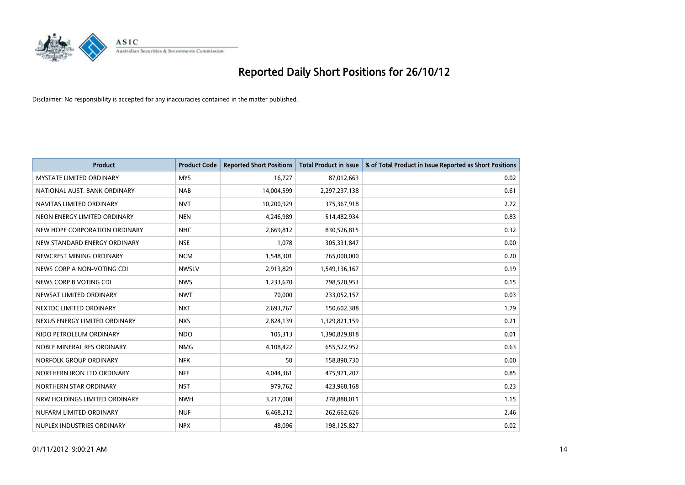

| <b>Product</b>                  | <b>Product Code</b> | <b>Reported Short Positions</b> | <b>Total Product in Issue</b> | % of Total Product in Issue Reported as Short Positions |
|---------------------------------|---------------------|---------------------------------|-------------------------------|---------------------------------------------------------|
| <b>MYSTATE LIMITED ORDINARY</b> | <b>MYS</b>          | 16,727                          | 87,012,663                    | 0.02                                                    |
| NATIONAL AUST. BANK ORDINARY    | <b>NAB</b>          | 14,004,599                      | 2,297,237,138                 | 0.61                                                    |
| NAVITAS LIMITED ORDINARY        | <b>NVT</b>          | 10,200,929                      | 375,367,918                   | 2.72                                                    |
| NEON ENERGY LIMITED ORDINARY    | <b>NEN</b>          | 4,246,989                       | 514,482,934                   | 0.83                                                    |
| NEW HOPE CORPORATION ORDINARY   | <b>NHC</b>          | 2,669,812                       | 830,526,815                   | 0.32                                                    |
| NEW STANDARD ENERGY ORDINARY    | <b>NSE</b>          | 1,078                           | 305,331,847                   | 0.00                                                    |
| NEWCREST MINING ORDINARY        | <b>NCM</b>          | 1,548,301                       | 765,000,000                   | 0.20                                                    |
| NEWS CORP A NON-VOTING CDI      | <b>NWSLV</b>        | 2,913,829                       | 1,549,136,167                 | 0.19                                                    |
| NEWS CORP B VOTING CDI          | <b>NWS</b>          | 1,233,670                       | 798,520,953                   | 0.15                                                    |
| NEWSAT LIMITED ORDINARY         | <b>NWT</b>          | 70,000                          | 233,052,157                   | 0.03                                                    |
| NEXTDC LIMITED ORDINARY         | <b>NXT</b>          | 2,693,767                       | 150,602,388                   | 1.79                                                    |
| NEXUS ENERGY LIMITED ORDINARY   | <b>NXS</b>          | 2,824,139                       | 1,329,821,159                 | 0.21                                                    |
| NIDO PETROLEUM ORDINARY         | <b>NDO</b>          | 105,313                         | 1,390,829,818                 | 0.01                                                    |
| NOBLE MINERAL RES ORDINARY      | <b>NMG</b>          | 4,108,422                       | 655,522,952                   | 0.63                                                    |
| NORFOLK GROUP ORDINARY          | <b>NFK</b>          | 50                              | 158,890,730                   | 0.00                                                    |
| NORTHERN IRON LTD ORDINARY      | <b>NFE</b>          | 4,044,361                       | 475,971,207                   | 0.85                                                    |
| NORTHERN STAR ORDINARY          | <b>NST</b>          | 979,762                         | 423,968,168                   | 0.23                                                    |
| NRW HOLDINGS LIMITED ORDINARY   | <b>NWH</b>          | 3,217,008                       | 278,888,011                   | 1.15                                                    |
| NUFARM LIMITED ORDINARY         | <b>NUF</b>          | 6,468,212                       | 262,662,626                   | 2.46                                                    |
| NUPLEX INDUSTRIES ORDINARY      | <b>NPX</b>          | 48,096                          | 198,125,827                   | 0.02                                                    |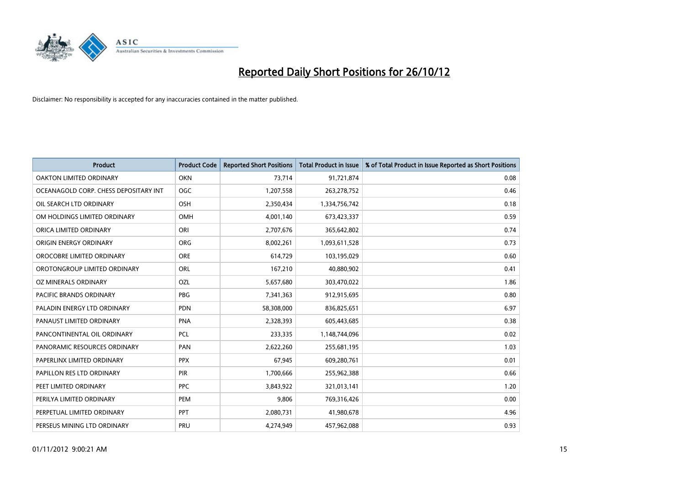

| <b>Product</b>                        | <b>Product Code</b> | <b>Reported Short Positions</b> | <b>Total Product in Issue</b> | % of Total Product in Issue Reported as Short Positions |
|---------------------------------------|---------------------|---------------------------------|-------------------------------|---------------------------------------------------------|
| <b>OAKTON LIMITED ORDINARY</b>        | <b>OKN</b>          | 73,714                          | 91,721,874                    | 0.08                                                    |
| OCEANAGOLD CORP. CHESS DEPOSITARY INT | <b>OGC</b>          | 1,207,558                       | 263,278,752                   | 0.46                                                    |
| OIL SEARCH LTD ORDINARY               | <b>OSH</b>          | 2,350,434                       | 1,334,756,742                 | 0.18                                                    |
| OM HOLDINGS LIMITED ORDINARY          | <b>OMH</b>          | 4,001,140                       | 673,423,337                   | 0.59                                                    |
| ORICA LIMITED ORDINARY                | ORI                 | 2,707,676                       | 365,642,802                   | 0.74                                                    |
| ORIGIN ENERGY ORDINARY                | <b>ORG</b>          | 8,002,261                       | 1,093,611,528                 | 0.73                                                    |
| OROCOBRE LIMITED ORDINARY             | <b>ORE</b>          | 614,729                         | 103,195,029                   | 0.60                                                    |
| OROTONGROUP LIMITED ORDINARY          | ORL                 | 167,210                         | 40,880,902                    | 0.41                                                    |
| OZ MINERALS ORDINARY                  | OZL                 | 5,657,680                       | 303,470,022                   | 1.86                                                    |
| <b>PACIFIC BRANDS ORDINARY</b>        | <b>PBG</b>          | 7,341,363                       | 912,915,695                   | 0.80                                                    |
| PALADIN ENERGY LTD ORDINARY           | <b>PDN</b>          | 58,308,000                      | 836,825,651                   | 6.97                                                    |
| PANAUST LIMITED ORDINARY              | <b>PNA</b>          | 2,328,393                       | 605,443,685                   | 0.38                                                    |
| PANCONTINENTAL OIL ORDINARY           | <b>PCL</b>          | 233,335                         | 1,148,744,096                 | 0.02                                                    |
| PANORAMIC RESOURCES ORDINARY          | PAN                 | 2,622,260                       | 255,681,195                   | 1.03                                                    |
| PAPERLINX LIMITED ORDINARY            | <b>PPX</b>          | 67,945                          | 609,280,761                   | 0.01                                                    |
| PAPILLON RES LTD ORDINARY             | PIR                 | 1,700,666                       | 255,962,388                   | 0.66                                                    |
| PEET LIMITED ORDINARY                 | <b>PPC</b>          | 3,843,922                       | 321,013,141                   | 1.20                                                    |
| PERILYA LIMITED ORDINARY              | PEM                 | 9,806                           | 769,316,426                   | 0.00                                                    |
| PERPETUAL LIMITED ORDINARY            | <b>PPT</b>          | 2,080,731                       | 41,980,678                    | 4.96                                                    |
| PERSEUS MINING LTD ORDINARY           | PRU                 | 4,274,949                       | 457,962,088                   | 0.93                                                    |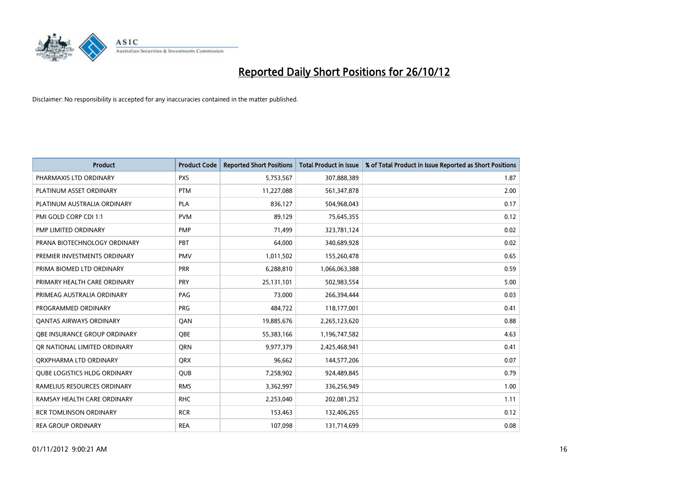

| <b>Product</b>                 | <b>Product Code</b> | <b>Reported Short Positions</b> | <b>Total Product in Issue</b> | % of Total Product in Issue Reported as Short Positions |
|--------------------------------|---------------------|---------------------------------|-------------------------------|---------------------------------------------------------|
| PHARMAXIS LTD ORDINARY         | <b>PXS</b>          | 5,753,567                       | 307,888,389                   | 1.87                                                    |
| PLATINUM ASSET ORDINARY        | <b>PTM</b>          | 11,227,088                      | 561,347,878                   | 2.00                                                    |
| PLATINUM AUSTRALIA ORDINARY    | <b>PLA</b>          | 836,127                         | 504,968,043                   | 0.17                                                    |
| PMI GOLD CORP CDI 1:1          | <b>PVM</b>          | 89,129                          | 75,645,355                    | 0.12                                                    |
| PMP LIMITED ORDINARY           | <b>PMP</b>          | 71,499                          | 323,781,124                   | 0.02                                                    |
| PRANA BIOTECHNOLOGY ORDINARY   | PBT                 | 64,000                          | 340,689,928                   | 0.02                                                    |
| PREMIER INVESTMENTS ORDINARY   | <b>PMV</b>          | 1,011,502                       | 155,260,478                   | 0.65                                                    |
| PRIMA BIOMED LTD ORDINARY      | PRR                 | 6,288,810                       | 1,066,063,388                 | 0.59                                                    |
| PRIMARY HEALTH CARE ORDINARY   | <b>PRY</b>          | 25,131,101                      | 502,983,554                   | 5.00                                                    |
| PRIMEAG AUSTRALIA ORDINARY     | PAG                 | 73,000                          | 266,394,444                   | 0.03                                                    |
| PROGRAMMED ORDINARY            | <b>PRG</b>          | 484,722                         | 118,177,001                   | 0.41                                                    |
| <b>QANTAS AIRWAYS ORDINARY</b> | QAN                 | 19,885,676                      | 2,265,123,620                 | 0.88                                                    |
| OBE INSURANCE GROUP ORDINARY   | <b>OBE</b>          | 55,383,166                      | 1,196,747,582                 | 4.63                                                    |
| OR NATIONAL LIMITED ORDINARY   | <b>ORN</b>          | 9,977,379                       | 2,425,468,941                 | 0.41                                                    |
| ORXPHARMA LTD ORDINARY         | <b>ORX</b>          | 96,662                          | 144,577,206                   | 0.07                                                    |
| QUBE LOGISTICS HLDG ORDINARY   | QUB                 | 7,258,902                       | 924,489,845                   | 0.79                                                    |
| RAMELIUS RESOURCES ORDINARY    | <b>RMS</b>          | 3,362,997                       | 336,256,949                   | 1.00                                                    |
| RAMSAY HEALTH CARE ORDINARY    | <b>RHC</b>          | 2,253,040                       | 202,081,252                   | 1.11                                                    |
| <b>RCR TOMLINSON ORDINARY</b>  | <b>RCR</b>          | 153,463                         | 132,406,265                   | 0.12                                                    |
| <b>REA GROUP ORDINARY</b>      | <b>REA</b>          | 107,098                         | 131,714,699                   | 0.08                                                    |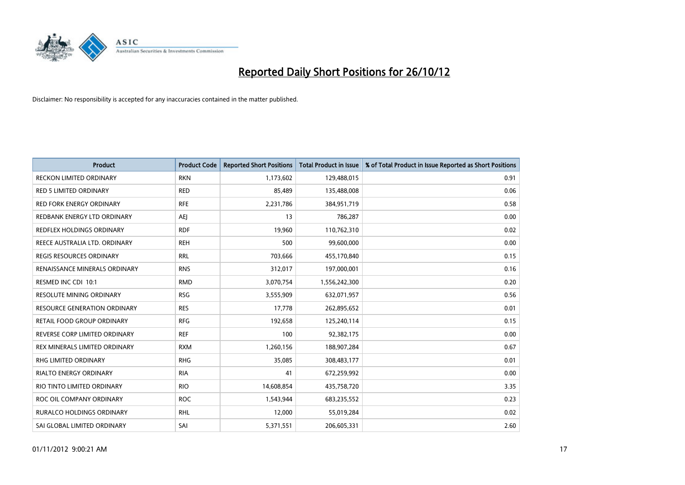

| <b>Product</b>                   | <b>Product Code</b> | <b>Reported Short Positions</b> | <b>Total Product in Issue</b> | % of Total Product in Issue Reported as Short Positions |
|----------------------------------|---------------------|---------------------------------|-------------------------------|---------------------------------------------------------|
| <b>RECKON LIMITED ORDINARY</b>   | <b>RKN</b>          | 1,173,602                       | 129,488,015                   | 0.91                                                    |
| <b>RED 5 LIMITED ORDINARY</b>    | <b>RED</b>          | 85,489                          | 135,488,008                   | 0.06                                                    |
| <b>RED FORK ENERGY ORDINARY</b>  | <b>RFE</b>          | 2,231,786                       | 384,951,719                   | 0.58                                                    |
| REDBANK ENERGY LTD ORDINARY      | AEJ                 | 13                              | 786,287                       | 0.00                                                    |
| REDFLEX HOLDINGS ORDINARY        | <b>RDF</b>          | 19,960                          | 110,762,310                   | 0.02                                                    |
| REECE AUSTRALIA LTD. ORDINARY    | <b>REH</b>          | 500                             | 99,600,000                    | 0.00                                                    |
| REGIS RESOURCES ORDINARY         | <b>RRL</b>          | 703,666                         | 455,170,840                   | 0.15                                                    |
| RENAISSANCE MINERALS ORDINARY    | <b>RNS</b>          | 312,017                         | 197,000,001                   | 0.16                                                    |
| RESMED INC CDI 10:1              | <b>RMD</b>          | 3,070,754                       | 1,556,242,300                 | 0.20                                                    |
| <b>RESOLUTE MINING ORDINARY</b>  | <b>RSG</b>          | 3,555,909                       | 632,071,957                   | 0.56                                                    |
| RESOURCE GENERATION ORDINARY     | <b>RES</b>          | 17,778                          | 262,895,652                   | 0.01                                                    |
| RETAIL FOOD GROUP ORDINARY       | <b>RFG</b>          | 192,658                         | 125,240,114                   | 0.15                                                    |
| REVERSE CORP LIMITED ORDINARY    | <b>REF</b>          | 100                             | 92,382,175                    | 0.00                                                    |
| REX MINERALS LIMITED ORDINARY    | <b>RXM</b>          | 1,260,156                       | 188,907,284                   | 0.67                                                    |
| <b>RHG LIMITED ORDINARY</b>      | <b>RHG</b>          | 35,085                          | 308,483,177                   | 0.01                                                    |
| RIALTO ENERGY ORDINARY           | <b>RIA</b>          | 41                              | 672,259,992                   | 0.00                                                    |
| RIO TINTO LIMITED ORDINARY       | <b>RIO</b>          | 14,608,854                      | 435,758,720                   | 3.35                                                    |
| ROC OIL COMPANY ORDINARY         | <b>ROC</b>          | 1,543,944                       | 683,235,552                   | 0.23                                                    |
| <b>RURALCO HOLDINGS ORDINARY</b> | <b>RHL</b>          | 12,000                          | 55,019,284                    | 0.02                                                    |
| SAI GLOBAL LIMITED ORDINARY      | SAI                 | 5,371,551                       | 206,605,331                   | 2.60                                                    |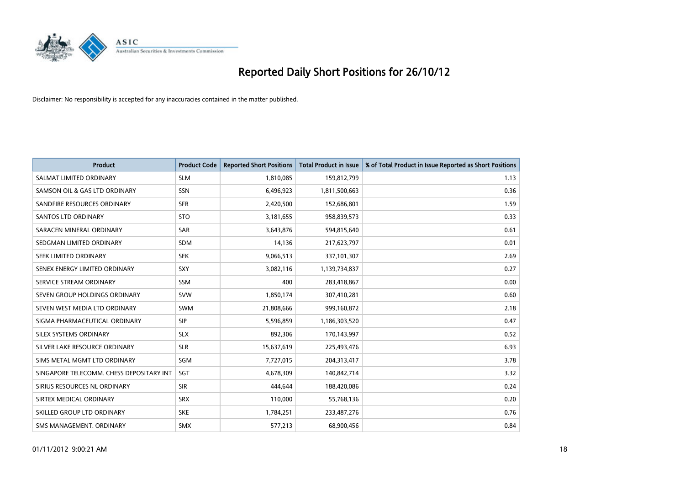

| <b>Product</b>                           | <b>Product Code</b> | <b>Reported Short Positions</b> | <b>Total Product in Issue</b> | % of Total Product in Issue Reported as Short Positions |
|------------------------------------------|---------------------|---------------------------------|-------------------------------|---------------------------------------------------------|
| SALMAT LIMITED ORDINARY                  | <b>SLM</b>          | 1,810,085                       | 159,812,799                   | 1.13                                                    |
| SAMSON OIL & GAS LTD ORDINARY            | <b>SSN</b>          | 6,496,923                       | 1,811,500,663                 | 0.36                                                    |
| SANDFIRE RESOURCES ORDINARY              | <b>SFR</b>          | 2,420,500                       | 152,686,801                   | 1.59                                                    |
| <b>SANTOS LTD ORDINARY</b>               | <b>STO</b>          | 3,181,655                       | 958,839,573                   | 0.33                                                    |
| SARACEN MINERAL ORDINARY                 | <b>SAR</b>          | 3,643,876                       | 594,815,640                   | 0.61                                                    |
| SEDGMAN LIMITED ORDINARY                 | <b>SDM</b>          | 14,136                          | 217,623,797                   | 0.01                                                    |
| SEEK LIMITED ORDINARY                    | <b>SEK</b>          | 9,066,513                       | 337,101,307                   | 2.69                                                    |
| SENEX ENERGY LIMITED ORDINARY            | <b>SXY</b>          | 3,082,116                       | 1,139,734,837                 | 0.27                                                    |
| SERVICE STREAM ORDINARY                  | <b>SSM</b>          | 400                             | 283,418,867                   | 0.00                                                    |
| SEVEN GROUP HOLDINGS ORDINARY            | <b>SVW</b>          | 1,850,174                       | 307,410,281                   | 0.60                                                    |
| SEVEN WEST MEDIA LTD ORDINARY            | <b>SWM</b>          | 21,808,666                      | 999,160,872                   | 2.18                                                    |
| SIGMA PHARMACEUTICAL ORDINARY            | <b>SIP</b>          | 5,596,859                       | 1,186,303,520                 | 0.47                                                    |
| SILEX SYSTEMS ORDINARY                   | <b>SLX</b>          | 892,306                         | 170,143,997                   | 0.52                                                    |
| SILVER LAKE RESOURCE ORDINARY            | <b>SLR</b>          | 15,637,619                      | 225,493,476                   | 6.93                                                    |
| SIMS METAL MGMT LTD ORDINARY             | SGM                 | 7,727,015                       | 204,313,417                   | 3.78                                                    |
| SINGAPORE TELECOMM. CHESS DEPOSITARY INT | <b>SGT</b>          | 4,678,309                       | 140,842,714                   | 3.32                                                    |
| SIRIUS RESOURCES NL ORDINARY             | <b>SIR</b>          | 444,644                         | 188,420,086                   | 0.24                                                    |
| SIRTEX MEDICAL ORDINARY                  | <b>SRX</b>          | 110,000                         | 55,768,136                    | 0.20                                                    |
| SKILLED GROUP LTD ORDINARY               | <b>SKE</b>          | 1,784,251                       | 233,487,276                   | 0.76                                                    |
| SMS MANAGEMENT. ORDINARY                 | <b>SMX</b>          | 577,213                         | 68,900,456                    | 0.84                                                    |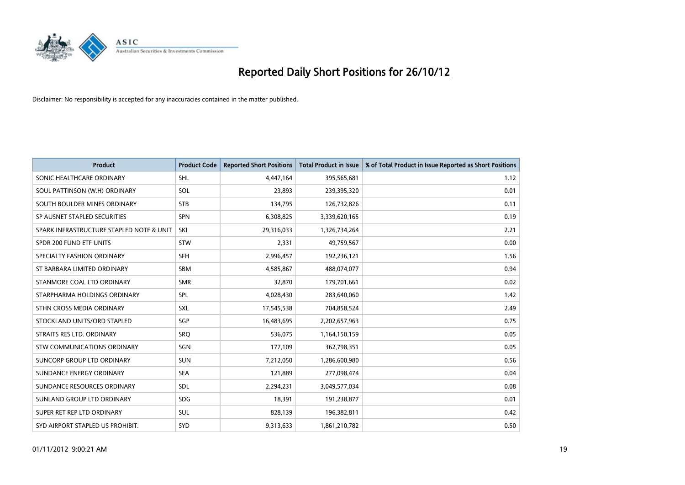

| <b>Product</b>                           | <b>Product Code</b> | <b>Reported Short Positions</b> | <b>Total Product in Issue</b> | % of Total Product in Issue Reported as Short Positions |
|------------------------------------------|---------------------|---------------------------------|-------------------------------|---------------------------------------------------------|
| SONIC HEALTHCARE ORDINARY                | <b>SHL</b>          | 4,447,164                       | 395,565,681                   | 1.12                                                    |
| SOUL PATTINSON (W.H) ORDINARY            | SOL                 | 23,893                          | 239,395,320                   | 0.01                                                    |
| SOUTH BOULDER MINES ORDINARY             | <b>STB</b>          | 134,795                         | 126,732,826                   | 0.11                                                    |
| SP AUSNET STAPLED SECURITIES             | <b>SPN</b>          | 6,308,825                       | 3,339,620,165                 | 0.19                                                    |
| SPARK INFRASTRUCTURE STAPLED NOTE & UNIT | SKI                 | 29,316,033                      | 1,326,734,264                 | 2.21                                                    |
| SPDR 200 FUND ETF UNITS                  | <b>STW</b>          | 2,331                           | 49,759,567                    | 0.00                                                    |
| SPECIALTY FASHION ORDINARY               | <b>SFH</b>          | 2,996,457                       | 192,236,121                   | 1.56                                                    |
| ST BARBARA LIMITED ORDINARY              | <b>SBM</b>          | 4,585,867                       | 488,074,077                   | 0.94                                                    |
| STANMORE COAL LTD ORDINARY               | <b>SMR</b>          | 32,870                          | 179,701,661                   | 0.02                                                    |
| STARPHARMA HOLDINGS ORDINARY             | <b>SPL</b>          | 4,028,430                       | 283,640,060                   | 1.42                                                    |
| STHN CROSS MEDIA ORDINARY                | <b>SXL</b>          | 17,545,538                      | 704,858,524                   | 2.49                                                    |
| STOCKLAND UNITS/ORD STAPLED              | SGP                 | 16,483,695                      | 2,202,657,963                 | 0.75                                                    |
| STRAITS RES LTD. ORDINARY                | SRQ                 | 536,075                         | 1,164,150,159                 | 0.05                                                    |
| STW COMMUNICATIONS ORDINARY              | SGN                 | 177,109                         | 362,798,351                   | 0.05                                                    |
| SUNCORP GROUP LTD ORDINARY               | <b>SUN</b>          | 7,212,050                       | 1,286,600,980                 | 0.56                                                    |
| SUNDANCE ENERGY ORDINARY                 | <b>SEA</b>          | 121,889                         | 277,098,474                   | 0.04                                                    |
| SUNDANCE RESOURCES ORDINARY              | <b>SDL</b>          | 2,294,231                       | 3,049,577,034                 | 0.08                                                    |
| SUNLAND GROUP LTD ORDINARY               | <b>SDG</b>          | 18,391                          | 191,238,877                   | 0.01                                                    |
| SUPER RET REP LTD ORDINARY               | <b>SUL</b>          | 828,139                         | 196,382,811                   | 0.42                                                    |
| SYD AIRPORT STAPLED US PROHIBIT.         | SYD                 | 9,313,633                       | 1,861,210,782                 | 0.50                                                    |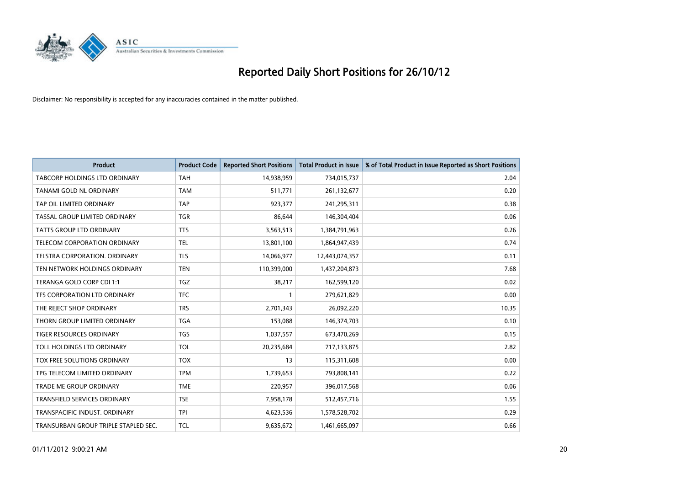

| <b>Product</b>                       | <b>Product Code</b> | <b>Reported Short Positions</b> | <b>Total Product in Issue</b> | % of Total Product in Issue Reported as Short Positions |
|--------------------------------------|---------------------|---------------------------------|-------------------------------|---------------------------------------------------------|
| <b>TABCORP HOLDINGS LTD ORDINARY</b> | <b>TAH</b>          | 14,938,959                      | 734,015,737                   | 2.04                                                    |
| TANAMI GOLD NL ORDINARY              | <b>TAM</b>          | 511,771                         | 261,132,677                   | 0.20                                                    |
| TAP OIL LIMITED ORDINARY             | <b>TAP</b>          | 923,377                         | 241,295,311                   | 0.38                                                    |
| TASSAL GROUP LIMITED ORDINARY        | <b>TGR</b>          | 86,644                          | 146,304,404                   | 0.06                                                    |
| <b>TATTS GROUP LTD ORDINARY</b>      | <b>TTS</b>          | 3,563,513                       | 1,384,791,963                 | 0.26                                                    |
| <b>TELECOM CORPORATION ORDINARY</b>  | <b>TEL</b>          | 13,801,100                      | 1,864,947,439                 | 0.74                                                    |
| TELSTRA CORPORATION, ORDINARY        | <b>TLS</b>          | 14,066,977                      | 12,443,074,357                | 0.11                                                    |
| TEN NETWORK HOLDINGS ORDINARY        | <b>TEN</b>          | 110,399,000                     | 1,437,204,873                 | 7.68                                                    |
| TERANGA GOLD CORP CDI 1:1            | <b>TGZ</b>          | 38,217                          | 162,599,120                   | 0.02                                                    |
| TFS CORPORATION LTD ORDINARY         | <b>TFC</b>          |                                 | 279,621,829                   | 0.00                                                    |
| THE REJECT SHOP ORDINARY             | <b>TRS</b>          | 2,701,343                       | 26,092,220                    | 10.35                                                   |
| THORN GROUP LIMITED ORDINARY         | <b>TGA</b>          | 153,088                         | 146,374,703                   | 0.10                                                    |
| TIGER RESOURCES ORDINARY             | <b>TGS</b>          | 1,037,557                       | 673,470,269                   | 0.15                                                    |
| TOLL HOLDINGS LTD ORDINARY           | <b>TOL</b>          | 20,235,684                      | 717,133,875                   | 2.82                                                    |
| TOX FREE SOLUTIONS ORDINARY          | <b>TOX</b>          | 13                              | 115,311,608                   | 0.00                                                    |
| TPG TELECOM LIMITED ORDINARY         | <b>TPM</b>          | 1,739,653                       | 793,808,141                   | 0.22                                                    |
| TRADE ME GROUP ORDINARY              | <b>TME</b>          | 220,957                         | 396,017,568                   | 0.06                                                    |
| TRANSFIELD SERVICES ORDINARY         | <b>TSE</b>          | 7,958,178                       | 512,457,716                   | 1.55                                                    |
| TRANSPACIFIC INDUST. ORDINARY        | <b>TPI</b>          | 4,623,536                       | 1,578,528,702                 | 0.29                                                    |
| TRANSURBAN GROUP TRIPLE STAPLED SEC. | <b>TCL</b>          | 9,635,672                       | 1,461,665,097                 | 0.66                                                    |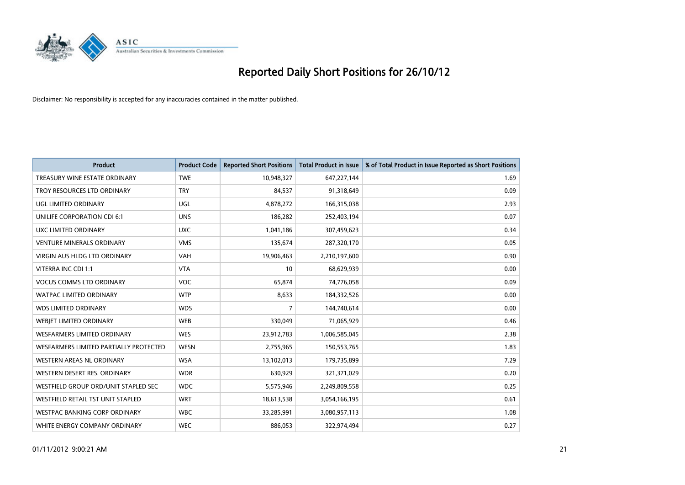

| <b>Product</b>                         | <b>Product Code</b> | <b>Reported Short Positions</b> | <b>Total Product in Issue</b> | % of Total Product in Issue Reported as Short Positions |
|----------------------------------------|---------------------|---------------------------------|-------------------------------|---------------------------------------------------------|
| TREASURY WINE ESTATE ORDINARY          | <b>TWE</b>          | 10,948,327                      | 647,227,144                   | 1.69                                                    |
| TROY RESOURCES LTD ORDINARY            | <b>TRY</b>          | 84,537                          | 91,318,649                    | 0.09                                                    |
| UGL LIMITED ORDINARY                   | UGL                 | 4,878,272                       | 166,315,038                   | 2.93                                                    |
| UNILIFE CORPORATION CDI 6:1            | <b>UNS</b>          | 186,282                         | 252,403,194                   | 0.07                                                    |
| UXC LIMITED ORDINARY                   | <b>UXC</b>          | 1,041,186                       | 307,459,623                   | 0.34                                                    |
| <b>VENTURE MINERALS ORDINARY</b>       | <b>VMS</b>          | 135,674                         | 287,320,170                   | 0.05                                                    |
| <b>VIRGIN AUS HLDG LTD ORDINARY</b>    | <b>VAH</b>          | 19,906,463                      | 2,210,197,600                 | 0.90                                                    |
| VITERRA INC CDI 1:1                    | <b>VTA</b>          | 10                              | 68,629,939                    | 0.00                                                    |
| <b>VOCUS COMMS LTD ORDINARY</b>        | <b>VOC</b>          | 65,874                          | 74,776,058                    | 0.09                                                    |
| <b>WATPAC LIMITED ORDINARY</b>         | <b>WTP</b>          | 8,633                           | 184,332,526                   | 0.00                                                    |
| <b>WDS LIMITED ORDINARY</b>            | <b>WDS</b>          | 7                               | 144,740,614                   | 0.00                                                    |
| <b>WEBIET LIMITED ORDINARY</b>         | <b>WEB</b>          | 330,049                         | 71,065,929                    | 0.46                                                    |
| <b>WESFARMERS LIMITED ORDINARY</b>     | <b>WES</b>          | 23,912,783                      | 1,006,585,045                 | 2.38                                                    |
| WESFARMERS LIMITED PARTIALLY PROTECTED | <b>WESN</b>         | 2,755,965                       | 150,553,765                   | 1.83                                                    |
| <b>WESTERN AREAS NL ORDINARY</b>       | <b>WSA</b>          | 13,102,013                      | 179,735,899                   | 7.29                                                    |
| WESTERN DESERT RES. ORDINARY           | <b>WDR</b>          | 630,929                         | 321,371,029                   | 0.20                                                    |
| WESTFIELD GROUP ORD/UNIT STAPLED SEC   | <b>WDC</b>          | 5,575,946                       | 2,249,809,558                 | 0.25                                                    |
| WESTFIELD RETAIL TST UNIT STAPLED      | <b>WRT</b>          | 18,613,538                      | 3,054,166,195                 | 0.61                                                    |
| <b>WESTPAC BANKING CORP ORDINARY</b>   | <b>WBC</b>          | 33,285,991                      | 3,080,957,113                 | 1.08                                                    |
| WHITE ENERGY COMPANY ORDINARY          | <b>WEC</b>          | 886,053                         | 322,974,494                   | 0.27                                                    |